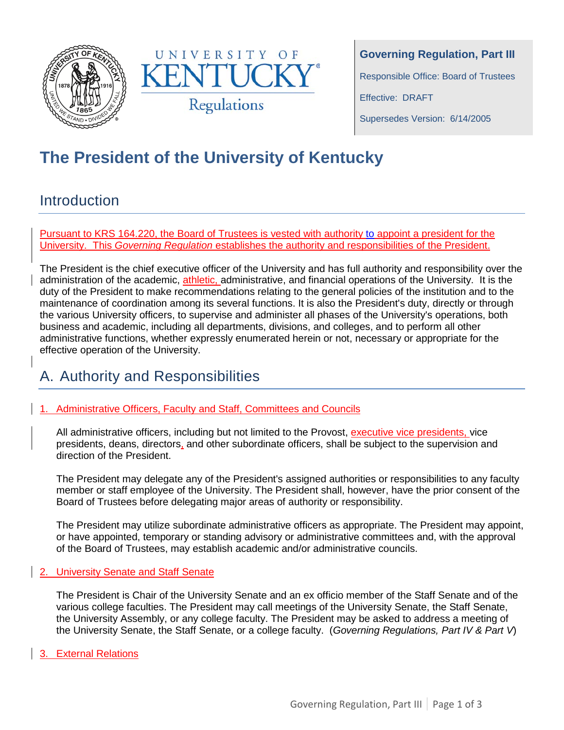



**Governing Regulation, Part III** Responsible Office: Board of Trustees Effective: DRAFT

Supersedes Version: 6/14/2005

# **The President of the University of Kentucky**

## **Introduction**

Pursuant to KRS 164.220, the Board of Trustees is vested with authority to appoint a president for the University. This *Governing Regulation* establishes the authority and responsibilities of the President.

The President is the chief executive officer of the University and has full authority and responsibility over the administration of the academic, athletic, administrative, and financial operations of the University. It is the duty of the President to make recommendations relating to the general policies of the institution and to the maintenance of coordination among its several functions. It is also the President's duty, directly or through the various University officers, to supervise and administer all phases of the University's operations, both business and academic, including all departments, divisions, and colleges, and to perform all other administrative functions, whether expressly enumerated herein or not, necessary or appropriate for the effective operation of the University.

# A. Authority and Responsibilities

#### 1. Administrative Officers, Faculty and Staff, Committees and Councils

All administrative officers, including but not limited to the Provost, executive vice presidents, vice presidents, deans, directors, and other subordinate officers, shall be subject to the supervision and direction of the President.

The President may delegate any of the President's assigned authorities or responsibilities to any faculty member or staff employee of the University. The President shall, however, have the prior consent of the Board of Trustees before delegating major areas of authority or responsibility.

The President may utilize subordinate administrative officers as appropriate. The President may appoint, or have appointed, temporary or standing advisory or administrative committees and, with the approval of the Board of Trustees, may establish academic and/or administrative councils.

#### 2. University Senate and Staff Senate

The President is Chair of the University Senate and an ex officio member of the Staff Senate and of the various college faculties. The President may call meetings of the University Senate, the Staff Senate, the University Assembly, or any college faculty. The President may be asked to address a meeting of the University Senate, the Staff Senate, or a college faculty. (*Governing Regulations, Part IV & Part V*)

#### 3. External Relations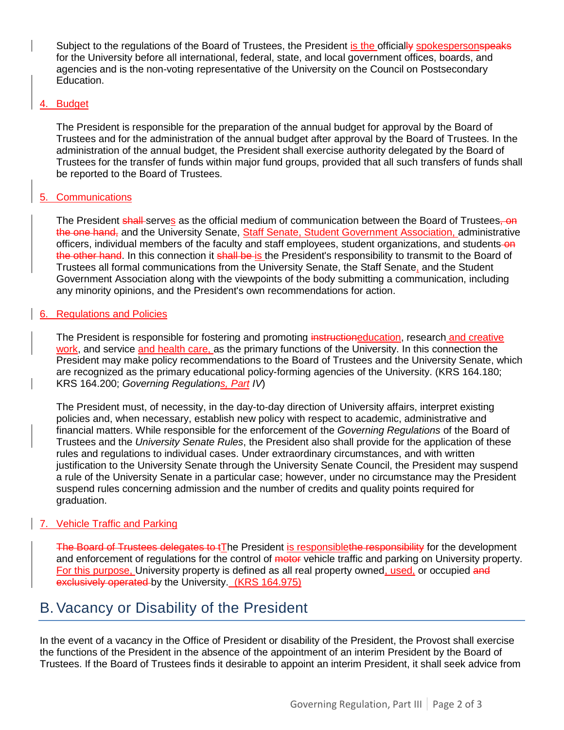Subject to the regulations of the Board of Trustees, the President is the officially spokespersonspeaks for the University before all international, federal, state, and local government offices, boards, and agencies and is the non-voting representative of the University on the Council on Postsecondary Education.

#### 4. Budget

The President is responsible for the preparation of the annual budget for approval by the Board of Trustees and for the administration of the annual budget after approval by the Board of Trustees. In the administration of the annual budget, the President shall exercise authority delegated by the Board of Trustees for the transfer of funds within major fund groups, provided that all such transfers of funds shall be reported to the Board of Trustees.

#### 5. Communications

The President shall-serves as the official medium of communication between the Board of Trustees, on the one hand, and the University Senate, Staff Senate, Student Government Association, administrative officers, individual members of the faculty and staff employees, student organizations, and students-on the other hand. In this connection it shall be is the President's responsibility to transmit to the Board of Trustees all formal communications from the University Senate, the Staff Senate, and the Student Government Association along with the viewpoints of the body submitting a communication, including any minority opinions, and the President's own recommendations for action.

#### 6. Regulations and Policies

The President is responsible for fostering and promoting instructioneducation, research and creative work, and service and health care, as the primary functions of the University. In this connection the President may make policy recommendations to the Board of Trustees and the University Senate, which are recognized as the primary educational policy-forming agencies of the University. (KRS 164.180; KRS 164.200; *Governing Regulations, Part IV*)

The President must, of necessity, in the day-to-day direction of University affairs, interpret existing policies and, when necessary, establish new policy with respect to academic, administrative and financial matters. While responsible for the enforcement of the *Governing Regulations* of the Board of Trustees and the *University Senate Rules*, the President also shall provide for the application of these rules and regulations to individual cases. Under extraordinary circumstances, and with written justification to the University Senate through the University Senate Council, the President may suspend a rule of the University Senate in a particular case; however, under no circumstance may the President suspend rules concerning admission and the number of credits and quality points required for graduation.

#### **7. Vehicle Traffic and Parking**

The Board of Trustees delegates to tThe President is responsiblethe responsibility for the development and enforcement of regulations for the control of motor vehicle traffic and parking on University property. For this purpose, University property is defined as all real property owned, used, or occupied and exclusively operated by the University. (KRS 164.975)

### B.Vacancy or Disability of the President

In the event of a vacancy in the Office of President or disability of the President, the Provost shall exercise the functions of the President in the absence of the appointment of an interim President by the Board of Trustees. If the Board of Trustees finds it desirable to appoint an interim President, it shall seek advice from